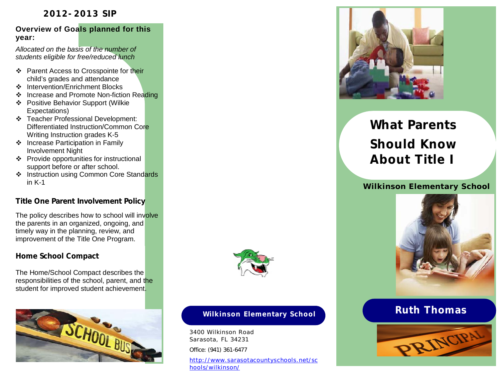# **2012-2013 SIP**

### **Overview of Goals planned for this year:**

*Allocated on the basis of the number of students eligible for free/reduced lunch*

- ❖ Parent Access to Crosspointe for their child's grades and attendance
- Intervention/Enrichment Blocks
- ❖ Increase and Promote Non-fiction Reading
- Positive Behavior Support (Wilkie Expectations)
- Teacher Professional Development: Differentiated Instruction/Common Core Writing Instruction grades K-5
- ❖ Increase Participation in Family Involvement Night
- Provide opportunities for instructional support before or after school.
- ❖ Instruction using Common Core Standards in K-1

# **Title One Parent Involvement Policy**

The policy describes how to school will involve the parents in an organized, ongoing, and timely way in the planning, review, and improvement of the Title One Program.

# **Home School Compact**

The Home/School Compact describes the responsibilities of the school, parent, and the student for improved student achievement.





# **Wilkinson Elementary School Ruth Thomas**

3400 Wilkinson Road Sarasota, FL 34231 Office: (941) 361-6477

http://www.sarasotacountyschools.net/sc hools/wilkinson/



# **What Parents Should Know About Title I**

# *Wilkinson Elementary School*